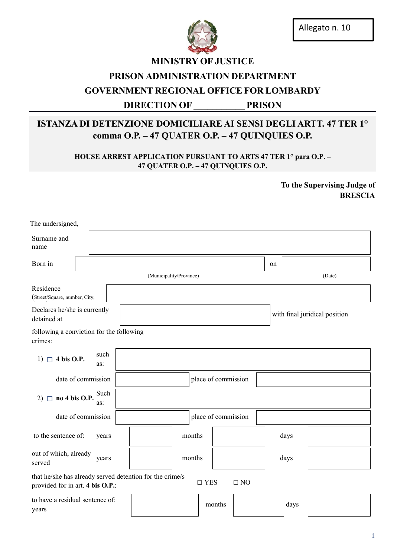

## MINISTRY OF JUSTICE

### PRISON ADMINISTRATION DEPARTMENT

## GOVERNMENT REGIONAL OFFICE FOR LOMBARDY

## DIRECTION OF PRISON

# ISTANZA DI DETENZIONE DOMICILIARE AI SENSI DEGLI ARTT. 47 TER 1° comma O.P. – 47 QUATER O.P. – 47 QUINQUIES O.P.

HOUSE ARREST APPLICATION PURSUANT TO ARTS 47 TER 1° para O.P. – 47 QUATER O.P. – 47 QUINQUIES O.P.

> To the Supervising Judge of BRESCIA

| The undersigned,                                                                             |  |             |                         |        |                     |        |           |    |                               |        |  |
|----------------------------------------------------------------------------------------------|--|-------------|-------------------------|--------|---------------------|--------|-----------|----|-------------------------------|--------|--|
| Surname and<br>name                                                                          |  |             |                         |        |                     |        |           |    |                               |        |  |
| Born in                                                                                      |  |             |                         |        |                     |        |           | on |                               |        |  |
|                                                                                              |  |             | (Municipality/Province) |        |                     |        |           |    |                               | (Date) |  |
| Residence<br>(Street/Square, number, City,                                                   |  |             |                         |        |                     |        |           |    |                               |        |  |
| Declares he/she is currently<br>detained at                                                  |  |             |                         |        |                     |        |           |    | with final juridical position |        |  |
| following a conviction for the following<br>crimes:                                          |  |             |                         |        |                     |        |           |    |                               |        |  |
| 4 bis O.P.<br>$1)$ $\Box$                                                                    |  | such<br>as: |                         |        |                     |        |           |    |                               |        |  |
| date of commission                                                                           |  |             |                         |        | place of commission |        |           |    |                               |        |  |
| no 4 bis O.P.<br>$2)$ $\Box$                                                                 |  | Such<br>as: |                         |        |                     |        |           |    |                               |        |  |
| date of commission                                                                           |  |             |                         |        | place of commission |        |           |    |                               |        |  |
| to the sentence of:                                                                          |  | years       |                         | months |                     |        |           |    | days                          |        |  |
| out of which, already<br>years<br>served                                                     |  |             | months                  |        |                     |        | days      |    |                               |        |  |
| that he/she has already served detention for the crime/s<br>provided for in art. 4 bis O.P.: |  |             |                         |        | $\square$ YES       |        | $\Box$ NO |    |                               |        |  |
| to have a residual sentence of:<br>years                                                     |  |             |                         |        |                     | months |           |    | days                          |        |  |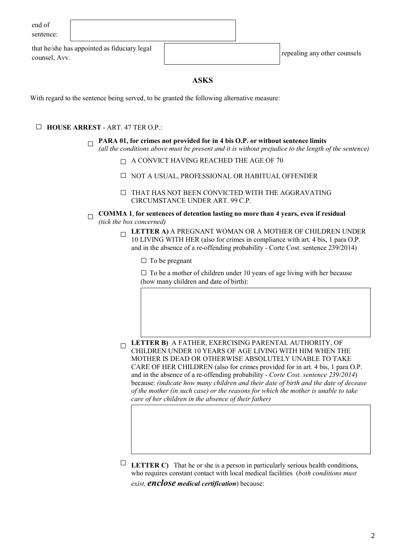| end of    |
|-----------|
| sentence: |

that he/she has appointed as fiduciary legal counsel, Avv. repeating any other counsels counsel.

### ASKS

With regard to the sentence being served, to be granted the following alternative measure:

### □ HOUSE ARREST - ART. 47 TER O.P.:

- $\Box$  PARA 01, for crimes not provided for in 4 bis O.P. or without sentence limits *(all the conditions above must be present and it is without prejudice to the length of the sentence)*
	- $\Box$  A CONVICT HAVING REACHED THE AGE OF 70
	- □ NOT A USUAL, PROFESSIONAL OR HABITUAL OFFENDER
	- □ THAT HAS NOT BEEN CONVICTED WITH THE AGGRAVATING CIRCUMSTANCE UNDER ART. 99 C.P.
- $\Box$  COMMA 1, for sentences of detention lasting no more than 4 years, even if residual *(tick the box concerned)*
	- $\Box$  LETTER A) A PREGNANT WOMAN OR A MOTHER OF CHILDREN UNDER 10 LIVING WITH HER (also for crimes in compliance with art. 4 bis, 1 para O.P. and in the absence of a re-offending probability - Corte Cost. sentence 239/2014)

□ To be pregnant

 $\square$  To be a mother of children under 10 years of age living with her because (how many children and date of birth):

 $\Box$  LETTER B) A FATHER, EXERCISING PARENTAL AUTHORITY, OF CHILDREN UNDER 10 YEARS OF AGE LIVING WITH HIM WHEN THE MOTHER IS DEAD OR OTHERWISE ABSOLUTELY UNABLE TO TAKE CARE OF HER CHILDREN (also for crimes provided for in art. 4 bis, 1 para O.P. and in the absence of a re-offending probability - *Corte Cost. sentence 239/2014*) because: *(indicate how many children and their date of birth and the date of decease of the mother (in such case) or the reasons for which the mother is unable to take care of her children in the absence of their father)*

**EXECEUTER C)** That he or she is a person in particularly serious health conditions, who requires constant contact with local medical facilities (*both conditions must exist, enclose medical certification*) because: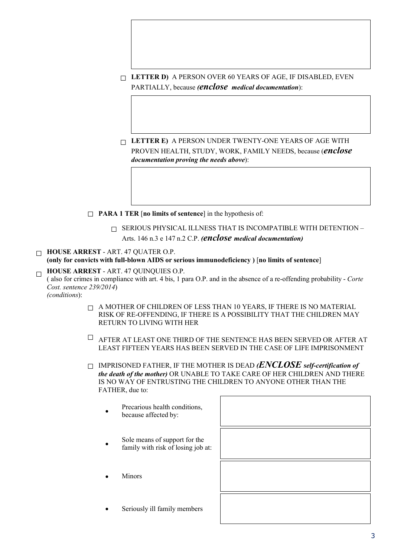- $\Box$  LETTER D) A PERSON OVER 60 YEARS OF AGE, IF DISABLED, EVEN PARTIALLY, because *(enclose medical documentation*):
- $\Box$  LETTER E) A PERSON UNDER TWENTY-ONE YEARS OF AGE WITH PROVEN HEALTH, STUDY, WORK, FAMILY NEEDS, because (*enclose documentation proving the needs above*):
- $\Box$  **PARA 1 TER** [no limits of sentence] in the hypothesis of:
	- $\Box$  SERIOUS PHYSICAL ILLNESS THAT IS INCOMPATIBLE WITH DETENTION Arts. 146 n.3 e 147 n.2 C.P. *(enclose medical documentation)*
- $\Box$  HOUSE ARREST ART. 47 QUATER O.P. (only for convicts with full-blown AIDS or serious immunodeficiency ) [no limits of sentence]
- $\Box$  HOUSE ARREST ART. 47 QUINQUIES O.P. ( also for crimes in compliance with art. 4 bis, 1 para O.P. and in the absence of a re-offending probability - *Corte Cost. sentence 239/2014*) *(conditions*):
	- $\Box$  A MOTHER OF CHILDREN OF LESS THAN 10 YEARS, IF THERE IS NO MATERIAL RISK OF RE-OFFENDING, IF THERE IS A POSSIBILITY THAT THE CHILDREN MAY RETURN TO LIVING WITH HER
	- $\Box$  AFTER AT LEAST ONE THIRD OF THE SENTENCE HAS BEEN SERVED OR AFTER AT LEAST FIFTEEN YEARS HAS BEEN SERVED IN THE CASE OF LIFE IMPRISONMENT
	- □ IMPRISONED FATHER, IF THE MOTHER IS DEAD *(ENCLOSE self-certification of the death of the mother)* OR UNABLE TO TAKE CARE OF HER CHILDREN AND THERE IS NO WAY OF ENTRUSTING THE CHILDREN TO ANYONE OTHER THAN THE FATHER, due to:
		- Precarious health conditions, because affected by:
		- Sole means of support for the family with risk of losing job at:
		- Minors
		- Seriously ill family members

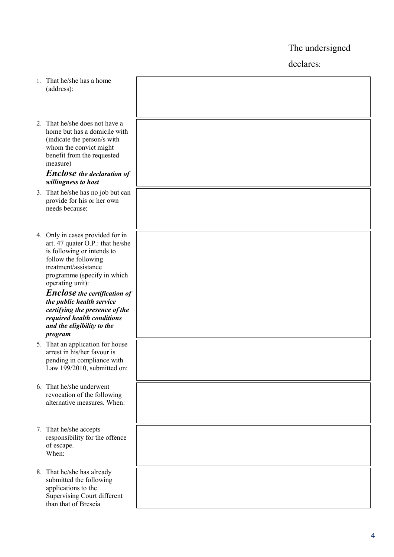The undersigned

declares :

| 1. | That he/she has a home<br>(address):                                                                                                                                                                                                                                                                                                                                               |  |
|----|------------------------------------------------------------------------------------------------------------------------------------------------------------------------------------------------------------------------------------------------------------------------------------------------------------------------------------------------------------------------------------|--|
|    | 2. That he/she does not have a<br>home but has a domicile with<br>(indicate the person/s with<br>whom the convict might<br>benefit from the requested<br>measure)                                                                                                                                                                                                                  |  |
|    | <b>Enclose</b> the declaration of<br>willingness to host                                                                                                                                                                                                                                                                                                                           |  |
|    | 3. That he/she has no job but can<br>provide for his or her own<br>needs because:                                                                                                                                                                                                                                                                                                  |  |
|    | 4. Only in cases provided for in<br>art. 47 quater O.P.: that he/she<br>is following or intends to<br>follow the following<br>treatment/assistance<br>programme (specify in which<br>operating unit):<br><b>Enclose</b> the certification of<br>the public health service<br>certifying the presence of the<br>required health conditions<br>and the eligibility to the<br>program |  |
|    | 5. That an application for house<br>arrest in his/her favour is<br>pending in compliance with<br>Law 199/2010, submitted on:                                                                                                                                                                                                                                                       |  |
|    | 6. That he/she underwent<br>revocation of the following<br>alternative measures. When:                                                                                                                                                                                                                                                                                             |  |
|    | 7. That he/she accepts<br>responsibility for the offence<br>of escape.<br>When:                                                                                                                                                                                                                                                                                                    |  |
|    | 8. That he/she has already<br>submitted the following<br>applications to the<br><b>Supervising Court different</b><br>than that of Brescia                                                                                                                                                                                                                                         |  |